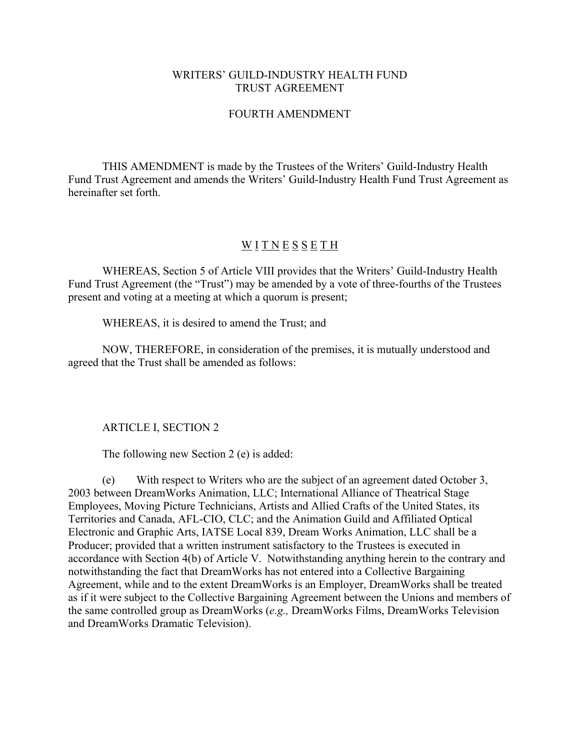## WRITERS' GUILD-INDUSTRY HEALTH FUND TRUST AGREEMENT

## FOURTH AMENDMENT

THIS AMENDMENT is made by the Trustees of the Writers' Guild-Industry Health Fund Trust Agreement and amends the Writers' Guild-Industry Health Fund Trust Agreement as hereinafter set forth.

## WITNESSETH

WHEREAS, Section 5 of Article VIII provides that the Writers' Guild-Industry Health Fund Trust Agreement (the "Trust") may be amended by a vote of three-fourths of the Trustees present and voting at a meeting at which a quorum is present;

WHEREAS, it is desired to amend the Trust; and

NOW, THEREFORE, in consideration of the premises, it is mutually understood and agreed that the Trust shall be amended as follows:

ARTICLE I, SECTION 2

The following new Section 2 (e) is added:

(e) With respect to Writers who are the subject of an agreement dated October 3, 2003 between DreamWorks Animation, LLC; International Alliance of Theatrical Stage Employees, Moving Picture Technicians, Artists and Allied Crafts of the United States, its Territories and Canada, AFL-CIO, CLC; and the Animation Guild and Affiliated Optical Electronic and Graphic Arts, IATSE Local 839, Dream Works Animation, LLC shall be a Producer; provided that a written instrument satisfactory to the Trustees is executed in accordance with Section 4(b) of Article V. Notwithstanding anything herein to the contrary and notwithstanding the fact that DreamWorks has not entered into a Collective Bargaining Agreement, while and to the extent DreamWorks is an Employer, DreamWorks shall be treated as if it were subject to the Collective Bargaining Agreement between the Unions and members of the same controlled group as DreamWorks (*e.g.,* DreamWorks Films, DreamWorks Television and DreamWorks Dramatic Television).